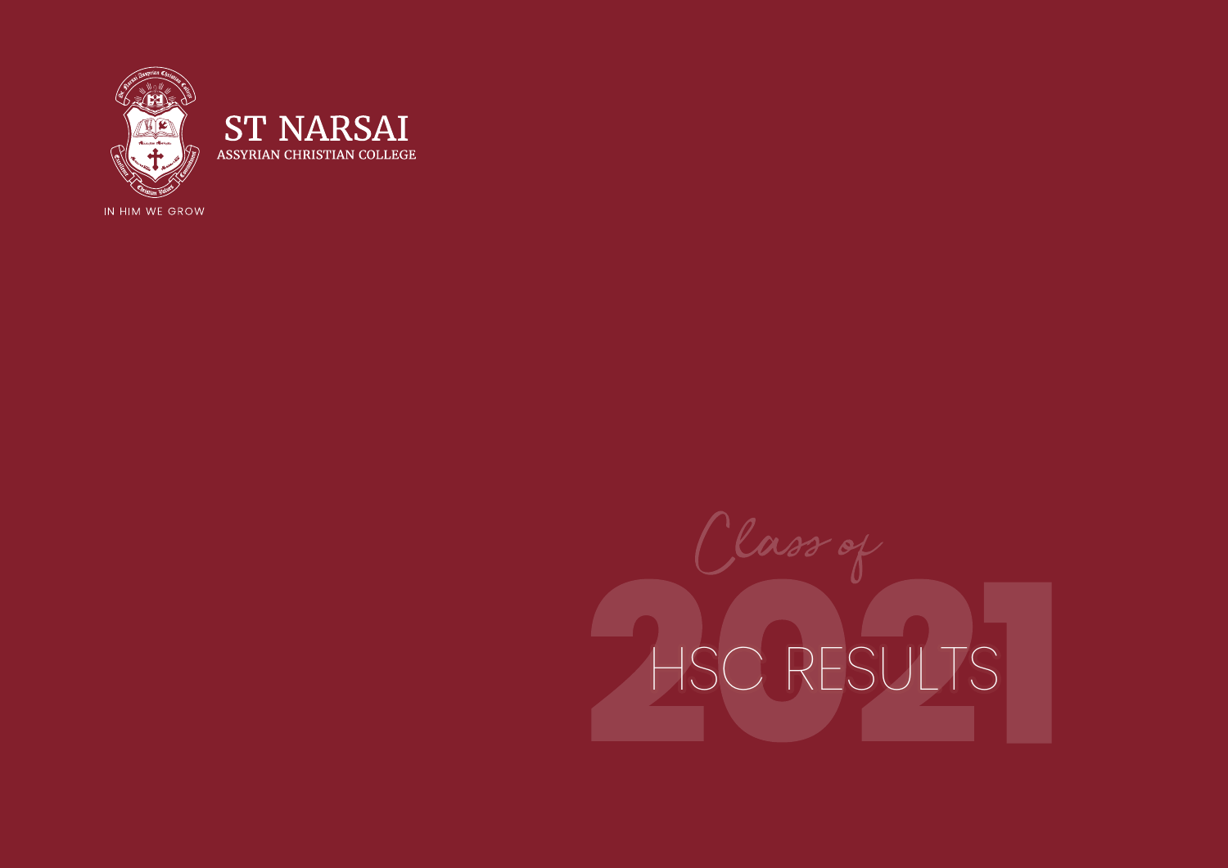

**ST NARSAI** ASSYRIAN CHRISTIAN COLLEGE

IN HIM WE GROW

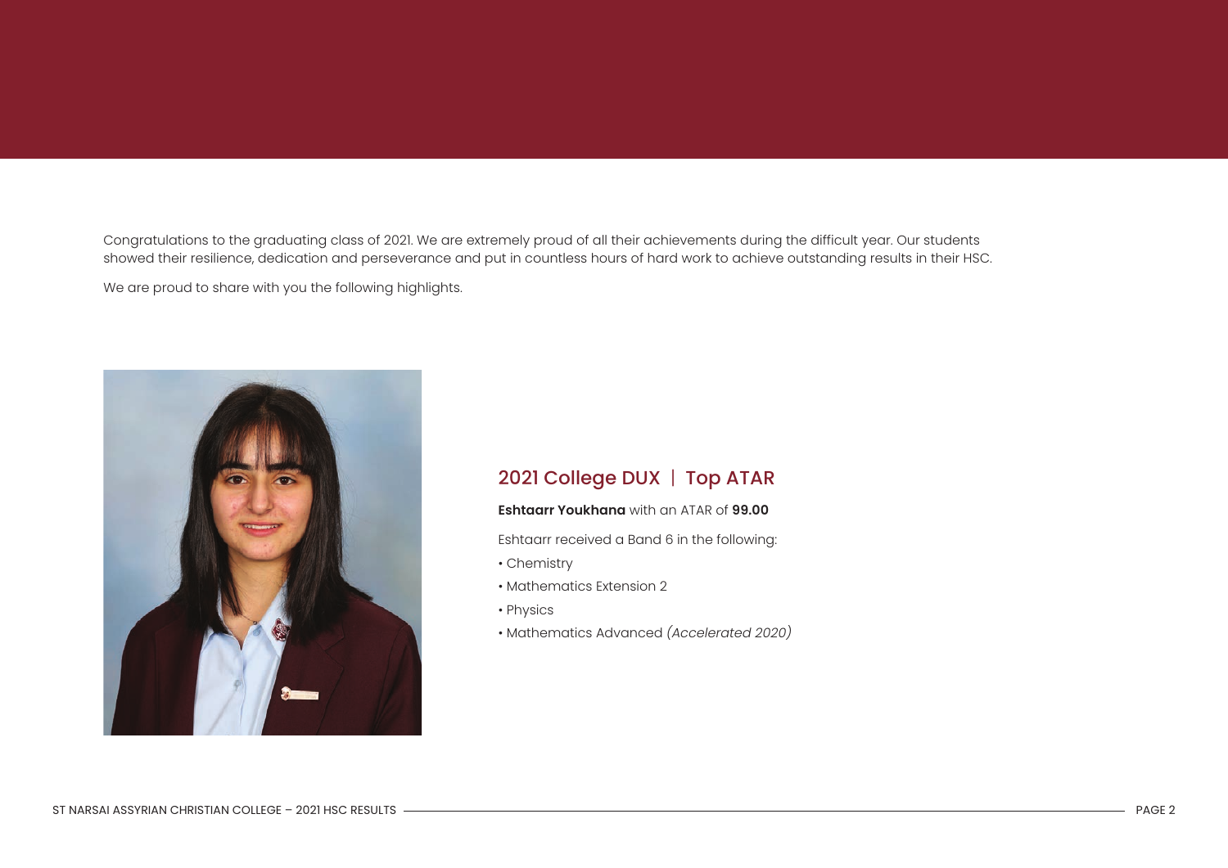Congratulations to the graduating class of 2021. We are extremely proud of all their achievements during the difficult year. Our students showed their resilience, dedication and perseverance and put in countless hours of hard work to achieve outstanding results in their HSC.

We are proud to share with you the following highlights.



## 2021 College DUX | Top ATAR

## **Eshtaarr Youkhana** with an ATAR of **99.00**

Eshtaarr received a Band 6 in the following:

- Chemistry
- Mathematics Extension 2
- Physics
- Mathematics Advanced *(Accelerated 2020)*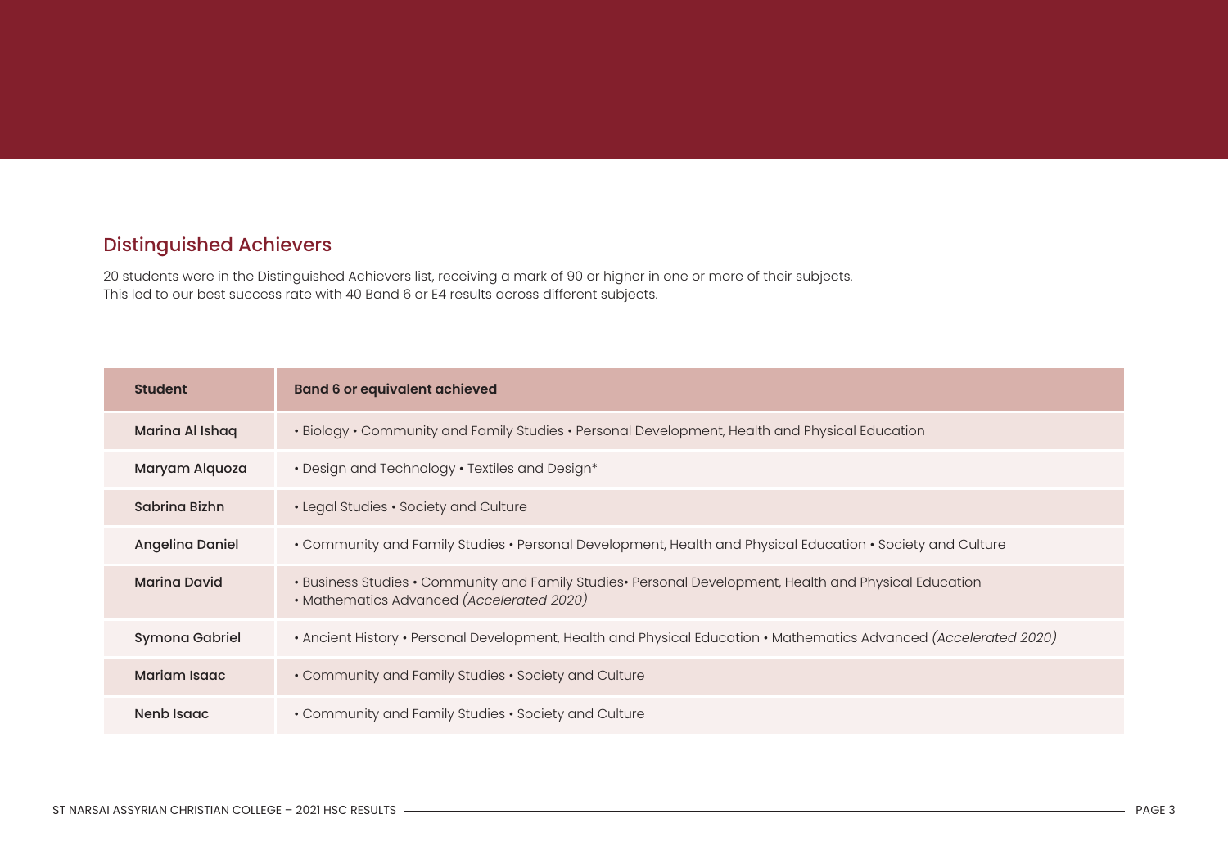## Distinguished Achievers

20 students were in the Distinguished Achievers list, receiving a mark of 90 or higher in one or more of their subjects. This led to our best success rate with 40 Band 6 or E4 results across different subjects.

| <b>Student</b>      | <b>Band 6 or equivalent achieved</b>                                                                                                                |
|---------------------|-----------------------------------------------------------------------------------------------------------------------------------------------------|
| Marina Al Ishaq     | . Biology . Community and Family Studies . Personal Development, Health and Physical Education                                                      |
| Maryam Alquoza      | • Design and Technology • Textiles and Design*                                                                                                      |
| Sabrina Bizhn       | • Legal Studies • Society and Culture                                                                                                               |
| Angelina Daniel     | . Community and Family Studies . Personal Development, Health and Physical Education . Society and Culture                                          |
| <b>Marina David</b> | . Business Studies . Community and Family Studies. Personal Development, Health and Physical Education<br>· Mathematics Advanced (Accelerated 2020) |
| Symona Gabriel      | • Ancient History • Personal Development, Health and Physical Education • Mathematics Advanced (Accelerated 2020)                                   |
| Mariam Isago        | • Community and Family Studies • Society and Culture                                                                                                |
| Nenb Isago          | • Community and Family Studies • Society and Culture                                                                                                |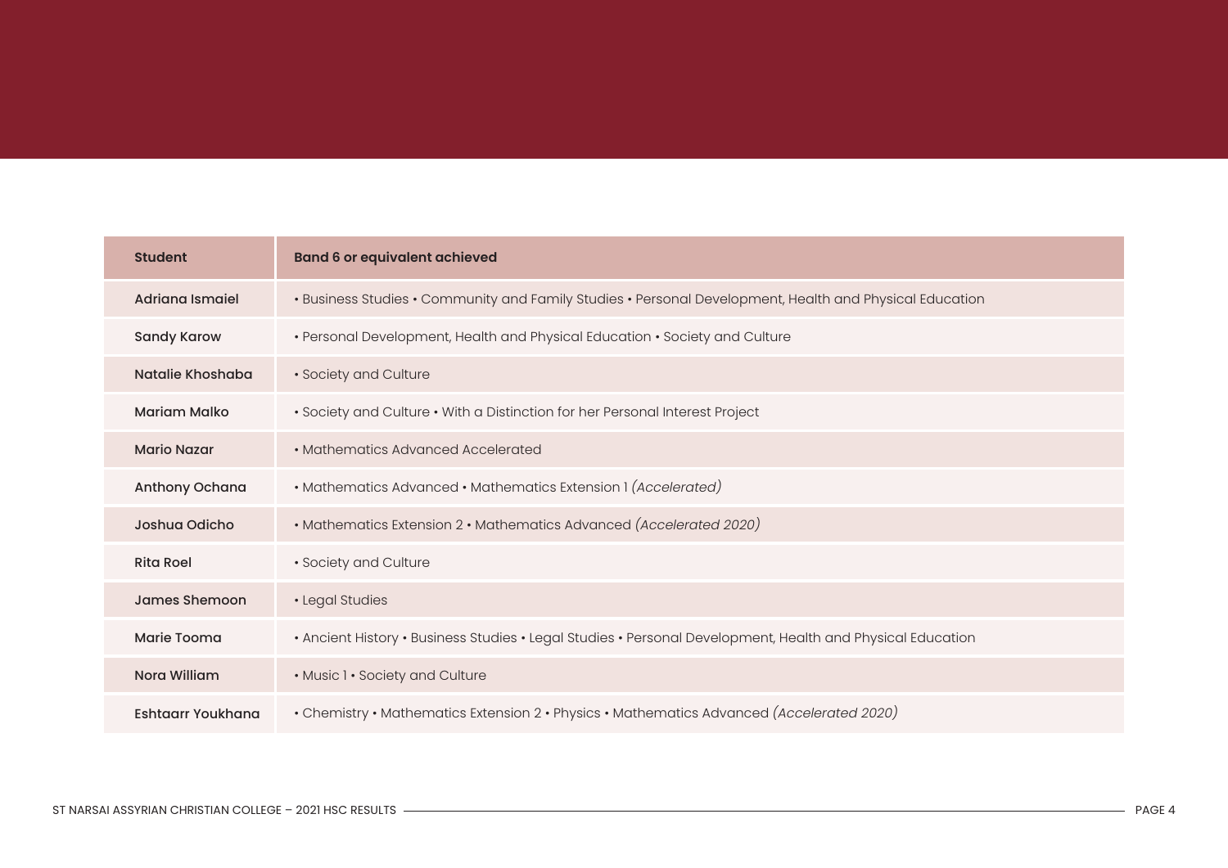| <b>Student</b>         | <b>Band 6 or equivalent achieved</b>                                                                       |
|------------------------|------------------------------------------------------------------------------------------------------------|
| <b>Adriana Ismaiel</b> | . Business Studies . Community and Family Studies . Personal Development, Health and Physical Education    |
| <b>Sandy Karow</b>     | • Personal Development, Health and Physical Education • Society and Culture                                |
| Natalie Khoshaba       | · Society and Culture                                                                                      |
| <b>Mariam Malko</b>    | · Society and Culture • With a Distinction for her Personal Interest Project                               |
| <b>Mario Nazar</b>     | • Mathematics Advanced Accelerated                                                                         |
| Anthony Ochana         | • Mathematics Advanced • Mathematics Extension 1 (Accelerated)                                             |
| Joshua Odicho          | • Mathematics Extension 2 • Mathematics Advanced (Accelerated 2020)                                        |
| <b>Rita Roel</b>       | · Society and Culture                                                                                      |
| James Shemoon          | · Legal Studies                                                                                            |
| Marie Tooma            | . Ancient History . Business Studies . Legal Studies . Personal Development, Health and Physical Education |
| Nora William           | . Music 1 · Society and Culture                                                                            |
| Eshtaarr Youkhana      | • Chemistry • Mathematics Extension 2 • Physics • Mathematics Advanced (Accelerated 2020)                  |

the control of the control of the control of the control of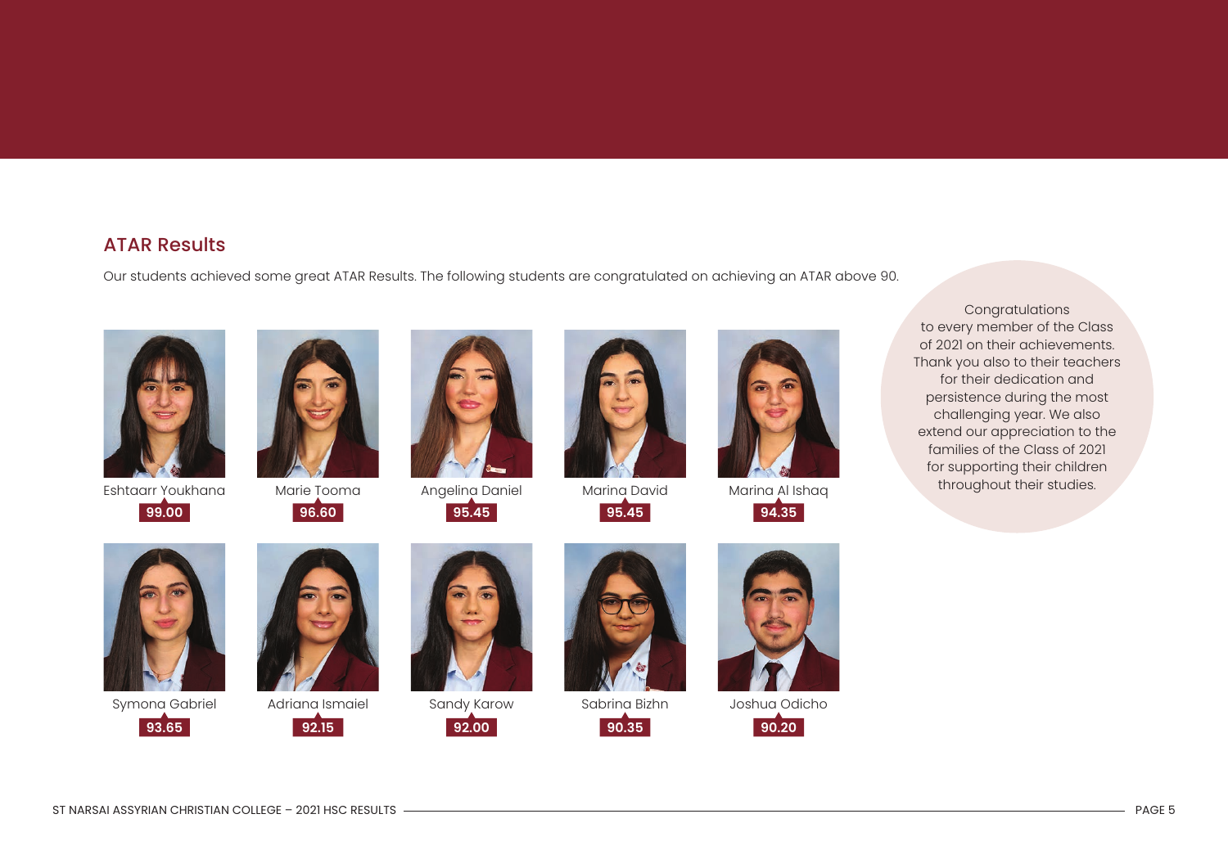## ATAR Results

Our students achieved some great ATAR Results. The following students are congratulated on achieving an ATAR above 90.



Eshtaarr Youkhana **99.00**



Marie Tooma **96.60**

![](_page_4_Picture_6.jpeg)

Angelina Daniel

![](_page_4_Picture_8.jpeg)

![](_page_4_Picture_9.jpeg)

Marina David **95.45**

![](_page_4_Picture_11.jpeg)

Marina Al Ishaq **94.35**

Congratulations to every member of the Class of 2021 on their achievements. Thank you also to their teachers for their dedication and persistence during the most challenging year. We also extend our appreciation to the families of the Class of 2021 for supporting their children throughout their studies.

![](_page_4_Picture_14.jpeg)

Symona Gabriel **93.65**

![](_page_4_Picture_16.jpeg)

Adriana Ismaiel

![](_page_4_Picture_18.jpeg)

![](_page_4_Picture_19.jpeg)

Sandy Karow

![](_page_4_Picture_21.jpeg)

![](_page_4_Picture_22.jpeg)

Sabrina Bizhn

![](_page_4_Picture_24.jpeg)

![](_page_4_Picture_25.jpeg)

Joshua Odicho

**90.20**

ST NARSAI ASSYRIAN CHRISTIAN COLLEGE – 2021 HSC RESULTS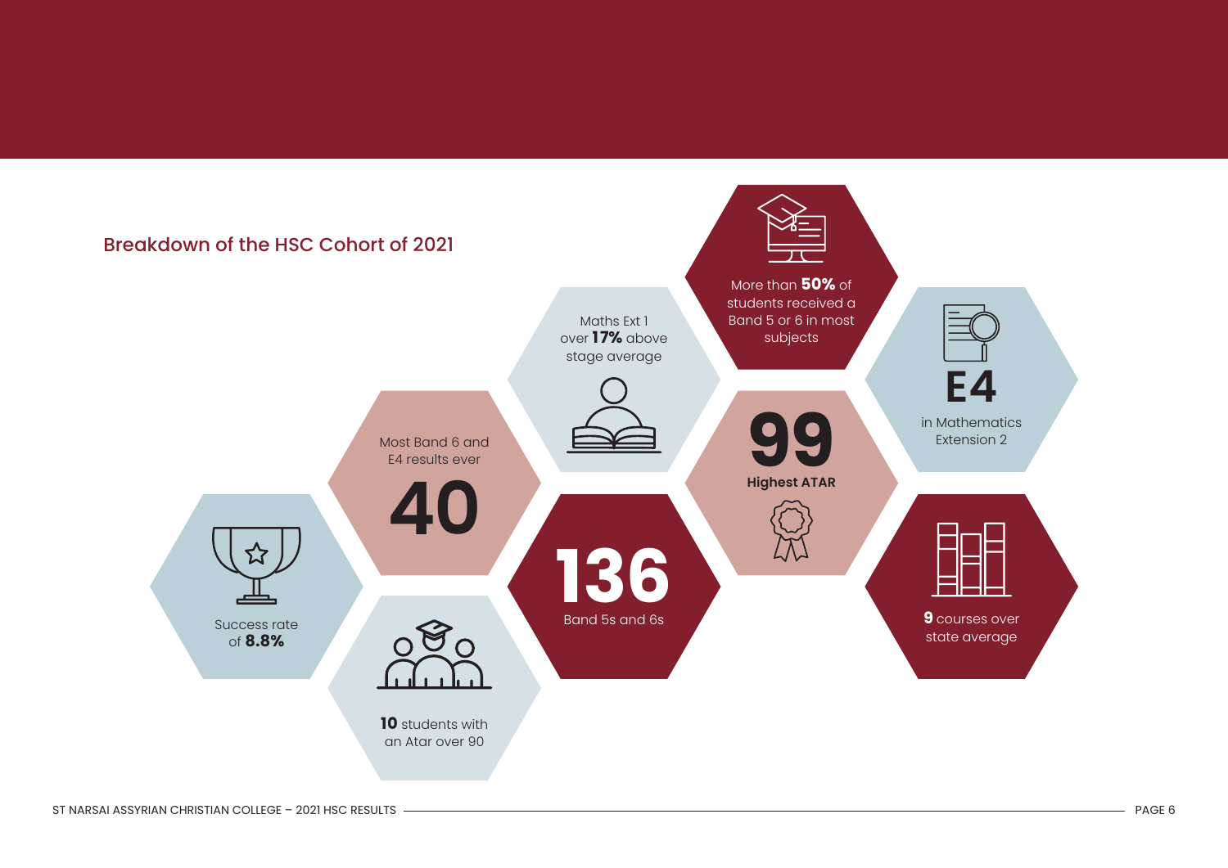![](_page_5_Figure_0.jpeg)